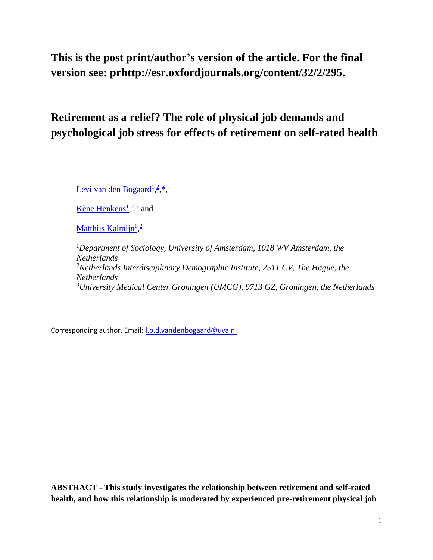# **This is the post print/author's version of the article. For the final version see: prhttp://esr.oxfordjournals.org/content/32/2/295.**

# **Retirement as a relief? The role of physical job demands and psychological job stress for effects of retirement on self-rated health**

[Levi van den Bogaard](http://esr.oxfordjournals.org/search?author1=Levi+van+den+Bogaard&sortspec=date&submit=Submit)<sup>[1](http://esr.oxfordjournals.org/search?author1=Levi+van+den+Bogaard&sortspec=date&submit=Submit)</sup>,<sup>[2](http://esr.oxfordjournals.org/content/32/2/295#aff-2)</sup>,<sup>\*</sup>,

[Kène Henkens](http://esr.oxfordjournals.org/search?author1=K%C3%A8ne+Henkens&sortspec=date&submit=Submit)<sup>1</sup>[,](http://esr.oxfordjournals.org/search?author1=K%C3%A8ne+Henkens&sortspec=date&submit=Submit)<sup>[2](http://esr.oxfordjournals.org/content/32/2/295#aff-2)</sup>,<sup>[3](http://esr.oxfordjournals.org/content/32/2/295#aff-3)</sup> and

[Matthijs Kalmijn](http://esr.oxfordjournals.org/search?author1=Matthijs+Kalmijn&sortspec=date&submit=Submit)<sup>[1](http://esr.oxfordjournals.org/search?author1=Matthijs+Kalmijn&sortspec=date&submit=Submit)</sup>,<sup>[2](http://esr.oxfordjournals.org/content/32/2/295#aff-2)</sup>

*<sup>1</sup>Department of Sociology, University of Amsterdam, 1018 WV Amsterdam, the Netherlands*  <sup>2</sup>*Netherlands Interdisciplinary Demographic Institute, 2511 CV, The Hague, the Netherlands <sup>3</sup>University Medical Center Groningen (UMCG), 9713 GZ, Groningen, the Netherlands* 

Corresponding author. Email: *l.b.d.vandenbogaard@uva.nl* 

**ABSTRACT - This study investigates the relationship between retirement and self-rated health, and how this relationship is moderated by experienced pre-retirement physical job**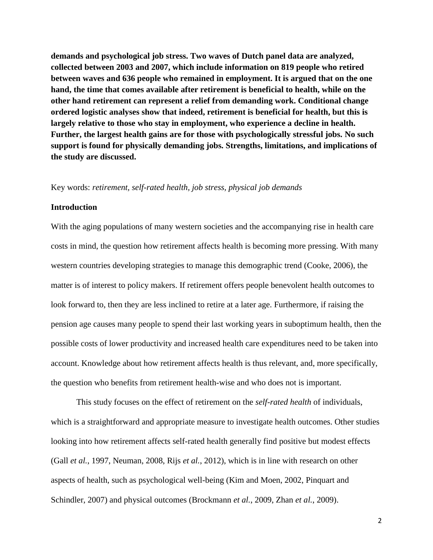**demands and psychological job stress. Two waves of Dutch panel data are analyzed, collected between 2003 and 2007, which include information on 819 people who retired between waves and 636 people who remained in employment. It is argued that on the one hand, the time that comes available after retirement is beneficial to health, while on the other hand retirement can represent a relief from demanding work. Conditional change ordered logistic analyses show that indeed, retirement is beneficial for health, but this is largely relative to those who stay in employment, who experience a decline in health. Further, the largest health gains are for those with psychologically stressful jobs. No such support is found for physically demanding jobs. Strengths, limitations, and implications of the study are discussed.**

### Key words: *retirement, self-rated health, job stress, physical job demands*

### **Introduction**

With the aging populations of many western societies and the accompanying rise in health care costs in mind, the question how retirement affects health is becoming more pressing. With many western countries developing strategies to manage this demographic trend (Cooke, 2006), the matter is of interest to policy makers. If retirement offers people benevolent health outcomes to look forward to, then they are less inclined to retire at a later age. Furthermore, if raising the pension age causes many people to spend their last working years in suboptimum health, then the possible costs of lower productivity and increased health care expenditures need to be taken into account. Knowledge about how retirement affects health is thus relevant, and, more specifically, the question who benefits from retirement health-wise and who does not is important.

This study focuses on the effect of retirement on the *self-rated health* of individuals, which is a straightforward and appropriate measure to investigate health outcomes. Other studies looking into how retirement affects self-rated health generally find positive but modest effects (Gall *et al.*, 1997, Neuman, 2008, Rijs *et al.*, 2012), which is in line with research on other aspects of health, such as psychological well-being (Kim and Moen, 2002, Pinquart and Schindler, 2007) and physical outcomes (Brockmann *et al.*, 2009, Zhan *et al.*, 2009).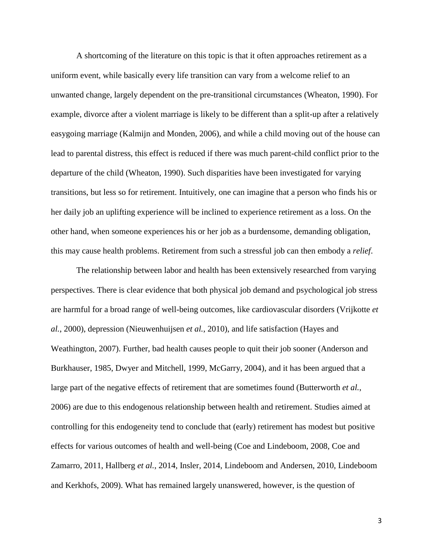A shortcoming of the literature on this topic is that it often approaches retirement as a uniform event, while basically every life transition can vary from a welcome relief to an unwanted change, largely dependent on the pre-transitional circumstances (Wheaton, 1990). For example, divorce after a violent marriage is likely to be different than a split-up after a relatively easygoing marriage (Kalmijn and Monden, 2006), and while a child moving out of the house can lead to parental distress, this effect is reduced if there was much parent-child conflict prior to the departure of the child (Wheaton, 1990). Such disparities have been investigated for varying transitions, but less so for retirement. Intuitively, one can imagine that a person who finds his or her daily job an uplifting experience will be inclined to experience retirement as a loss. On the other hand, when someone experiences his or her job as a burdensome, demanding obligation, this may cause health problems. Retirement from such a stressful job can then embody a *relief*.

The relationship between labor and health has been extensively researched from varying perspectives. There is clear evidence that both physical job demand and psychological job stress are harmful for a broad range of well-being outcomes, like cardiovascular disorders (Vrijkotte *et al.*, 2000), depression (Nieuwenhuijsen *et al.*, 2010), and life satisfaction (Hayes and Weathington, 2007). Further, bad health causes people to quit their job sooner (Anderson and Burkhauser, 1985, Dwyer and Mitchell, 1999, McGarry, 2004), and it has been argued that a large part of the negative effects of retirement that are sometimes found (Butterworth *et al.*, 2006) are due to this endogenous relationship between health and retirement. Studies aimed at controlling for this endogeneity tend to conclude that (early) retirement has modest but positive effects for various outcomes of health and well-being (Coe and Lindeboom, 2008, Coe and Zamarro, 2011, Hallberg *et al.*, 2014, Insler, 2014, Lindeboom and Andersen, 2010, Lindeboom and Kerkhofs, 2009). What has remained largely unanswered, however, is the question of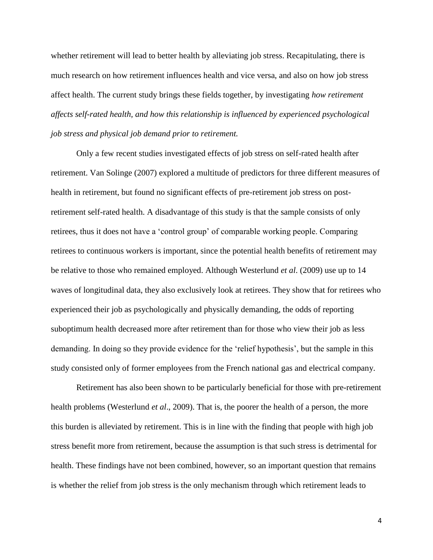whether retirement will lead to better health by alleviating job stress. Recapitulating, there is much research on how retirement influences health and vice versa, and also on how job stress affect health. The current study brings these fields together, by investigating *how retirement affects self-rated health, and how this relationship is influenced by experienced psychological job stress and physical job demand prior to retirement.* 

Only a few recent studies investigated effects of job stress on self-rated health after retirement. Van Solinge (2007) explored a multitude of predictors for three different measures of health in retirement, but found no significant effects of pre-retirement job stress on postretirement self-rated health. A disadvantage of this study is that the sample consists of only retirees, thus it does not have a 'control group' of comparable working people. Comparing retirees to continuous workers is important, since the potential health benefits of retirement may be relative to those who remained employed. Although Westerlund *et al*. (2009) use up to 14 waves of longitudinal data, they also exclusively look at retirees. They show that for retirees who experienced their job as psychologically and physically demanding, the odds of reporting suboptimum health decreased more after retirement than for those who view their job as less demanding. In doing so they provide evidence for the 'relief hypothesis', but the sample in this study consisted only of former employees from the French national gas and electrical company.

Retirement has also been shown to be particularly beneficial for those with pre-retirement health problems (Westerlund *et al*., 2009). That is, the poorer the health of a person, the more this burden is alleviated by retirement. This is in line with the finding that people with high job stress benefit more from retirement, because the assumption is that such stress is detrimental for health. These findings have not been combined, however, so an important question that remains is whether the relief from job stress is the only mechanism through which retirement leads to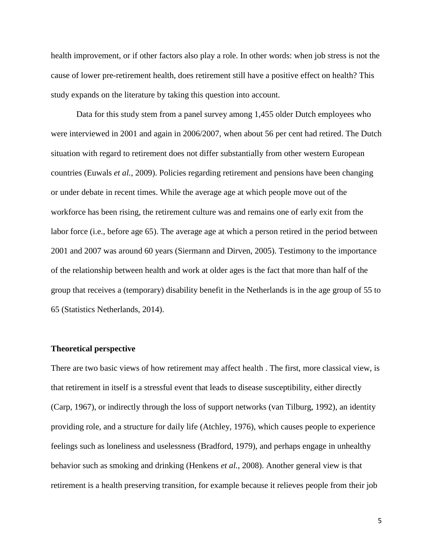health improvement, or if other factors also play a role. In other words: when job stress is not the cause of lower pre-retirement health, does retirement still have a positive effect on health? This study expands on the literature by taking this question into account.

Data for this study stem from a panel survey among 1,455 older Dutch employees who were interviewed in 2001 and again in 2006/2007, when about 56 per cent had retired. The Dutch situation with regard to retirement does not differ substantially from other western European countries (Euwals *et al.*, 2009). Policies regarding retirement and pensions have been changing or under debate in recent times. While the average age at which people move out of the workforce has been rising, the retirement culture was and remains one of early exit from the labor force (i.e., before age 65). The average age at which a person retired in the period between 2001 and 2007 was around 60 years (Siermann and Dirven, 2005). Testimony to the importance of the relationship between health and work at older ages is the fact that more than half of the group that receives a (temporary) disability benefit in the Netherlands is in the age group of 55 to 65 (Statistics Netherlands, 2014).

## **Theoretical perspective**

There are two basic views of how retirement may affect health . The first, more classical view, is that retirement in itself is a stressful event that leads to disease susceptibility, either directly (Carp, 1967), or indirectly through the loss of support networks (van Tilburg, 1992), an identity providing role, and a structure for daily life (Atchley, 1976), which causes people to experience feelings such as loneliness and uselessness (Bradford, 1979), and perhaps engage in unhealthy behavior such as smoking and drinking (Henkens *et al.*, 2008). Another general view is that retirement is a health preserving transition, for example because it relieves people from their job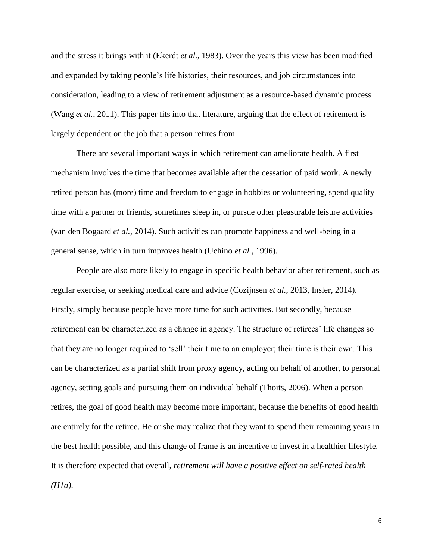and the stress it brings with it (Ekerdt *et al.*, 1983). Over the years this view has been modified and expanded by taking people's life histories, their resources, and job circumstances into consideration, leading to a view of retirement adjustment as a resource-based dynamic process (Wang *et al.*, 2011). This paper fits into that literature, arguing that the effect of retirement is largely dependent on the job that a person retires from.

There are several important ways in which retirement can ameliorate health. A first mechanism involves the time that becomes available after the cessation of paid work. A newly retired person has (more) time and freedom to engage in hobbies or volunteering, spend quality time with a partner or friends, sometimes sleep in, or pursue other pleasurable leisure activities (van den Bogaard *et al.*, 2014). Such activities can promote happiness and well-being in a general sense, which in turn improves health (Uchino *et al.*, 1996).

People are also more likely to engage in specific health behavior after retirement, such as regular exercise, or seeking medical care and advice (Cozijnsen *et al.*, 2013, Insler, 2014). Firstly, simply because people have more time for such activities. But secondly, because retirement can be characterized as a change in agency. The structure of retirees' life changes so that they are no longer required to 'sell' their time to an employer; their time is their own. This can be characterized as a partial shift from proxy agency, acting on behalf of another, to personal agency, setting goals and pursuing them on individual behalf (Thoits, 2006). When a person retires, the goal of good health may become more important, because the benefits of good health are entirely for the retiree. He or she may realize that they want to spend their remaining years in the best health possible, and this change of frame is an incentive to invest in a healthier lifestyle. It is therefore expected that overall, *retirement will have a positive effect on self-rated health (H1a)*.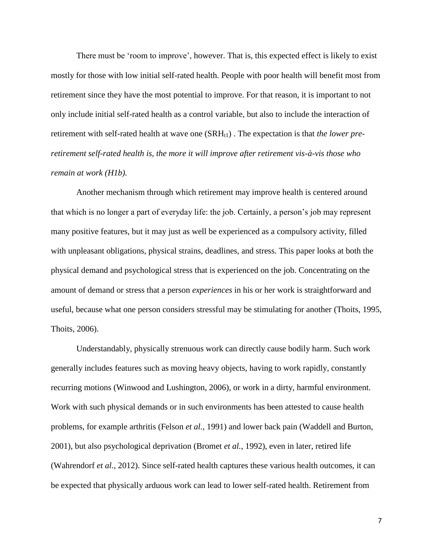There must be 'room to improve', however. That is, this expected effect is likely to exist mostly for those with low initial self-rated health. People with poor health will benefit most from retirement since they have the most potential to improve. For that reason, it is important to not only include initial self-rated health as a control variable, but also to include the interaction of retirement with self-rated health at wave one  $(SRH_{1})$ . The expectation is that *the lower preretirement self-rated health is, the more it will improve after retirement vis-à-vis those who remain at work (H1b).*

Another mechanism through which retirement may improve health is centered around that which is no longer a part of everyday life: the job. Certainly, a person's job may represent many positive features, but it may just as well be experienced as a compulsory activity, filled with unpleasant obligations, physical strains, deadlines, and stress. This paper looks at both the physical demand and psychological stress that is experienced on the job. Concentrating on the amount of demand or stress that a person *experiences* in his or her work is straightforward and useful, because what one person considers stressful may be stimulating for another (Thoits, 1995, Thoits, 2006).

Understandably, physically strenuous work can directly cause bodily harm. Such work generally includes features such as moving heavy objects, having to work rapidly, constantly recurring motions (Winwood and Lushington, 2006), or work in a dirty, harmful environment. Work with such physical demands or in such environments has been attested to cause health problems, for example arthritis (Felson *et al.*, 1991) and lower back pain (Waddell and Burton, 2001), but also psychological deprivation (Bromet *et al.*, 1992), even in later, retired life (Wahrendorf *et al.*, 2012). Since self-rated health captures these various health outcomes, it can be expected that physically arduous work can lead to lower self-rated health. Retirement from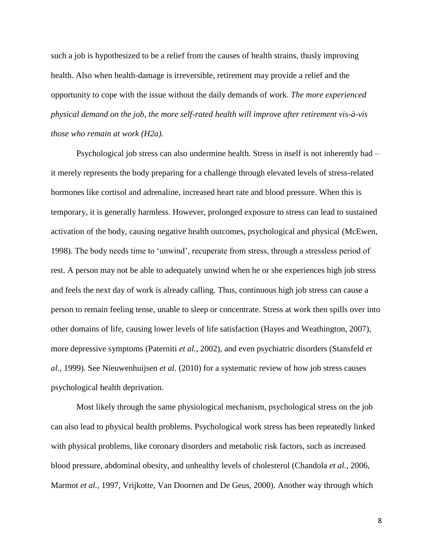such a job is hypothesized to be a relief from the causes of health strains, thusly improving health. Also when health-damage is irreversible, retirement may provide a relief and the opportunity to cope with the issue without the daily demands of work. *The more experienced physical demand on the job, the more self-rated health will improve after retirement vis-à-vis those who remain at work (H2a).*

Psychological job stress can also undermine health. Stress in itself is not inherently bad – it merely represents the body preparing for a challenge through elevated levels of stress-related hormones like cortisol and adrenaline, increased heart rate and blood pressure. When this is temporary, it is generally harmless. However, prolonged exposure to stress can lead to sustained activation of the body, causing negative health outcomes, psychological and physical (McEwen, 1998). The body needs time to 'unwind', recuperate from stress, through a stressless period of rest. A person may not be able to adequately unwind when he or she experiences high job stress and feels the next day of work is already calling. Thus, continuous high job stress can cause a person to remain feeling tense, unable to sleep or concentrate. Stress at work then spills over into other domains of life, causing lower levels of life satisfaction (Hayes and Weathington, 2007), more depressive symptoms (Paterniti *et al.*, 2002), and even psychiatric disorders (Stansfeld *et al.*, 1999). See Nieuwenhuijsen *et al*. (2010) for a systematic review of how job stress causes psychological health deprivation.

Most likely through the same physiological mechanism, psychological stress on the job can also lead to physical health problems. Psychological work stress has been repeatedly linked with physical problems, like coronary disorders and metabolic risk factors, such as increased blood pressure, abdominal obesity, and unhealthy levels of cholesterol (Chandola *et al.*, 2006, Marmot *et al.*, 1997, Vrijkotte, Van Doornen and De Geus, 2000). Another way through which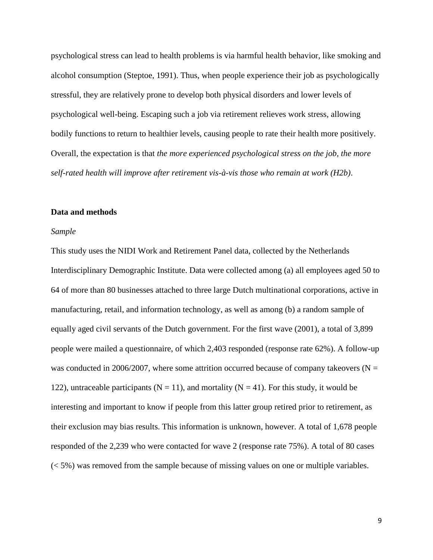psychological stress can lead to health problems is via harmful health behavior, like smoking and alcohol consumption (Steptoe, 1991). Thus, when people experience their job as psychologically stressful, they are relatively prone to develop both physical disorders and lower levels of psychological well-being. Escaping such a job via retirement relieves work stress, allowing bodily functions to return to healthier levels, causing people to rate their health more positively. Overall, the expectation is that *the more experienced psychological stress on the job, the more self-rated health will improve after retirement vis-à-vis those who remain at work (H2b)*.

### **Data and methods**

### *Sample*

This study uses the NIDI Work and Retirement Panel data, collected by the Netherlands Interdisciplinary Demographic Institute. Data were collected among (a) all employees aged 50 to 64 of more than 80 businesses attached to three large Dutch multinational corporations, active in manufacturing, retail, and information technology, as well as among (b) a random sample of equally aged civil servants of the Dutch government. For the first wave (2001), a total of 3,899 people were mailed a questionnaire, of which 2,403 responded (response rate 62%). A follow-up was conducted in 2006/2007, where some attrition occurred because of company takeovers ( $N =$ 122), untraceable participants ( $N = 11$ ), and mortality ( $N = 41$ ). For this study, it would be interesting and important to know if people from this latter group retired prior to retirement, as their exclusion may bias results. This information is unknown, however. A total of 1,678 people responded of the 2,239 who were contacted for wave 2 (response rate 75%). A total of 80 cases (< 5%) was removed from the sample because of missing values on one or multiple variables.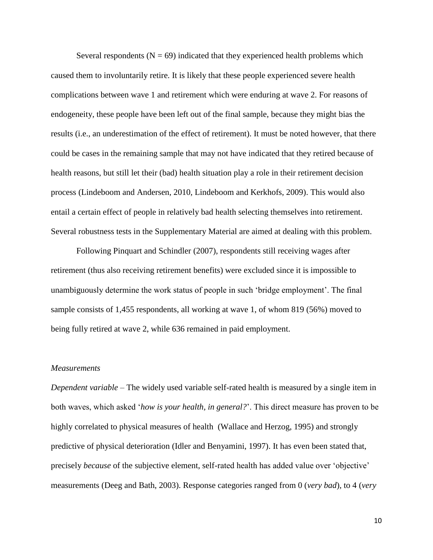Several respondents ( $N = 69$ ) indicated that they experienced health problems which caused them to involuntarily retire. It is likely that these people experienced severe health complications between wave 1 and retirement which were enduring at wave 2. For reasons of endogeneity, these people have been left out of the final sample, because they might bias the results (i.e., an underestimation of the effect of retirement). It must be noted however, that there could be cases in the remaining sample that may not have indicated that they retired because of health reasons, but still let their (bad) health situation play a role in their retirement decision process (Lindeboom and Andersen, 2010, Lindeboom and Kerkhofs, 2009). This would also entail a certain effect of people in relatively bad health selecting themselves into retirement. Several robustness tests in the Supplementary Material are aimed at dealing with this problem.

Following Pinquart and Schindler (2007), respondents still receiving wages after retirement (thus also receiving retirement benefits) were excluded since it is impossible to unambiguously determine the work status of people in such 'bridge employment'. The final sample consists of 1,455 respondents, all working at wave 1, of whom 819 (56%) moved to being fully retired at wave 2, while 636 remained in paid employment.

#### *Measurements*

*Dependent variable* – The widely used variable self-rated health is measured by a single item in both waves, which asked '*how is your health, in general?*'. This direct measure has proven to be highly correlated to physical measures of health (Wallace and Herzog, 1995) and strongly predictive of physical deterioration (Idler and Benyamini, 1997). It has even been stated that, precisely *because* of the subjective element, self-rated health has added value over 'objective' measurements (Deeg and Bath, 2003). Response categories ranged from 0 (*very bad*)*,* to 4 (*very*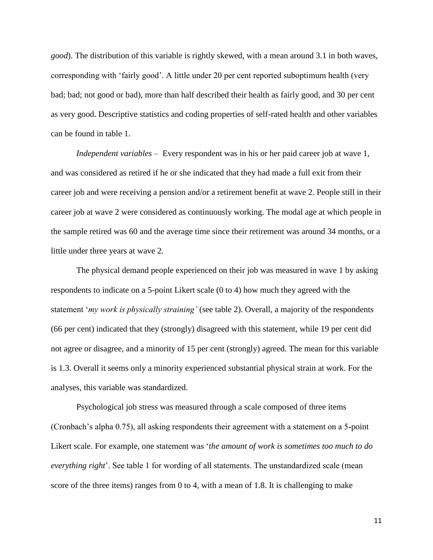*good*). The distribution of this variable is rightly skewed, with a mean around 3.1 in both waves, corresponding with 'fairly good'. A little under 20 per cent reported suboptimum health (very bad; bad; not good or bad), more than half described their health as fairly good, and 30 per cent as very good. Descriptive statistics and coding properties of self-rated health and other variables can be found in table 1.

*Independent variables* – Every respondent was in his or her paid career job at wave 1, and was considered as retired if he or she indicated that they had made a full exit from their career job and were receiving a pension and/or a retirement benefit at wave 2. People still in their career job at wave 2 were considered as continuously working. The modal age at which people in the sample retired was 60 and the average time since their retirement was around 34 months, or a little under three years at wave 2.

The physical demand people experienced on their job was measured in wave 1 by asking respondents to indicate on a 5-point Likert scale (0 to 4) how much they agreed with the statement '*my work is physically straining'* (see table 2). Overall, a majority of the respondents (66 per cent) indicated that they (strongly) disagreed with this statement, while 19 per cent did not agree or disagree, and a minority of 15 per cent (strongly) agreed. The mean for this variable is 1.3. Overall it seems only a minority experienced substantial physical strain at work. For the analyses, this variable was standardized.

Psychological job stress was measured through a scale composed of three items (Cronbach's alpha 0.75), all asking respondents their agreement with a statement on a 5-point Likert scale. For example, one statement was '*the amount of work is sometimes too much to do everything right*'. See table 1 for wording of all statements. The unstandardized scale (mean score of the three items) ranges from 0 to 4, with a mean of 1.8. It is challenging to make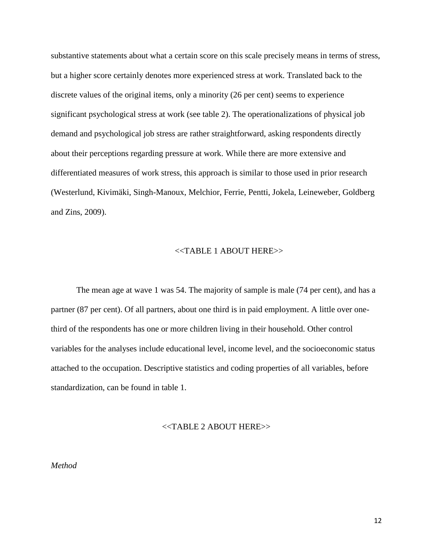substantive statements about what a certain score on this scale precisely means in terms of stress, but a higher score certainly denotes more experienced stress at work. Translated back to the discrete values of the original items, only a minority (26 per cent) seems to experience significant psychological stress at work (see table 2). The operationalizations of physical job demand and psychological job stress are rather straightforward, asking respondents directly about their perceptions regarding pressure at work. While there are more extensive and differentiated measures of work stress, this approach is similar to those used in prior research (Westerlund, Kivimäki, Singh-Manoux, Melchior, Ferrie, Pentti, Jokela, Leineweber, Goldberg and Zins, 2009).

## <<TABLE 1 ABOUT HERE>>

The mean age at wave 1 was 54. The majority of sample is male (74 per cent), and has a partner (87 per cent). Of all partners, about one third is in paid employment. A little over onethird of the respondents has one or more children living in their household. Other control variables for the analyses include educational level, income level, and the socioeconomic status attached to the occupation. Descriptive statistics and coding properties of all variables, before standardization, can be found in table 1.

# <<TABLE 2 ABOUT HERE>>

*Method*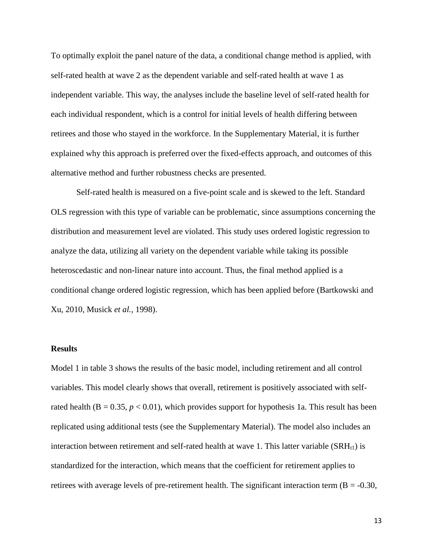To optimally exploit the panel nature of the data, a conditional change method is applied, with self-rated health at wave 2 as the dependent variable and self-rated health at wave 1 as independent variable. This way, the analyses include the baseline level of self-rated health for each individual respondent, which is a control for initial levels of health differing between retirees and those who stayed in the workforce. In the Supplementary Material, it is further explained why this approach is preferred over the fixed-effects approach, and outcomes of this alternative method and further robustness checks are presented.

Self-rated health is measured on a five-point scale and is skewed to the left. Standard OLS regression with this type of variable can be problematic, since assumptions concerning the distribution and measurement level are violated. This study uses ordered logistic regression to analyze the data, utilizing all variety on the dependent variable while taking its possible heteroscedastic and non-linear nature into account. Thus, the final method applied is a conditional change ordered logistic regression, which has been applied before (Bartkowski and Xu, 2010, Musick *et al.*, 1998).

#### **Results**

Model 1 in table 3 shows the results of the basic model, including retirement and all control variables. This model clearly shows that overall, retirement is positively associated with selfrated health ( $B = 0.35$ ,  $p < 0.01$ ), which provides support for hypothesis 1a. This result has been replicated using additional tests (see the Supplementary Material). The model also includes an interaction between retirement and self-rated health at wave 1. This latter variable  $(SRH<sub>1</sub>)$  is standardized for the interaction, which means that the coefficient for retirement applies to retirees with average levels of pre-retirement health. The significant interaction term ( $B = -0.30$ ,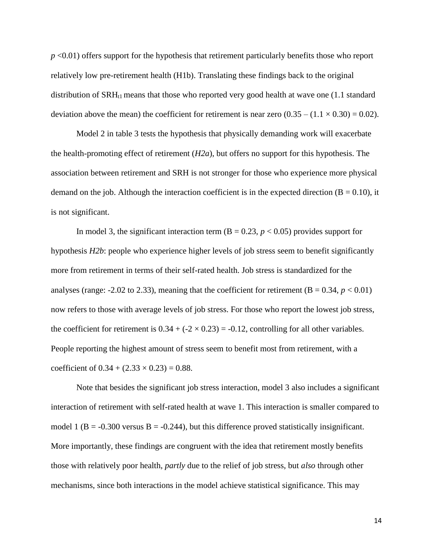*p* <0.01) offers support for the hypothesis that retirement particularly benefits those who report relatively low pre-retirement health (H1b). Translating these findings back to the original distribution of  $\text{SRH}_{11}$  means that those who reported very good health at wave one (1.1 standard deviation above the mean) the coefficient for retirement is near zero  $(0.35 - (1.1 \times 0.30) = 0.02)$ .

Model 2 in table 3 tests the hypothesis that physically demanding work will exacerbate the health-promoting effect of retirement (*H2a*), but offers no support for this hypothesis. The association between retirement and SRH is not stronger for those who experience more physical demand on the job. Although the interaction coefficient is in the expected direction ( $B = 0.10$ ), it is not significant.

In model 3, the significant interaction term  $(B = 0.23, p < 0.05)$  provides support for hypothesis *H2b*: people who experience higher levels of job stress seem to benefit significantly more from retirement in terms of their self-rated health. Job stress is standardized for the analyses (range:  $-2.02$  to 2.33), meaning that the coefficient for retirement ( $B = 0.34$ ,  $p < 0.01$ ) now refers to those with average levels of job stress. For those who report the lowest job stress, the coefficient for retirement is  $0.34 + (-2 \times 0.23) = -0.12$ , controlling for all other variables. People reporting the highest amount of stress seem to benefit most from retirement, with a coefficient of  $0.34 + (2.33 \times 0.23) = 0.88$ .

Note that besides the significant job stress interaction, model 3 also includes a significant interaction of retirement with self-rated health at wave 1. This interaction is smaller compared to model 1 (B =  $-0.300$  versus B =  $-0.244$ ), but this difference proved statistically insignificant. More importantly, these findings are congruent with the idea that retirement mostly benefits those with relatively poor health, *partly* due to the relief of job stress, but *also* through other mechanisms, since both interactions in the model achieve statistical significance. This may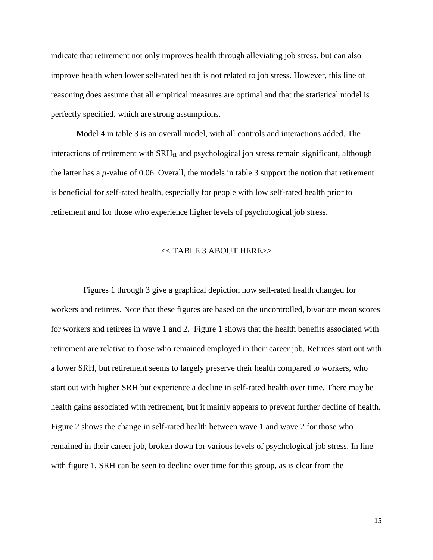indicate that retirement not only improves health through alleviating job stress, but can also improve health when lower self-rated health is not related to job stress. However, this line of reasoning does assume that all empirical measures are optimal and that the statistical model is perfectly specified, which are strong assumptions.

Model 4 in table 3 is an overall model, with all controls and interactions added. The interactions of retirement with  $\text{SRH}_{t1}$  and psychological job stress remain significant, although the latter has a *p*-value of 0.06. Overall, the models in table 3 support the notion that retirement is beneficial for self-rated health, especially for people with low self-rated health prior to retirement and for those who experience higher levels of psychological job stress.

## << TABLE 3 ABOUT HERE>>

Figures 1 through 3 give a graphical depiction how self-rated health changed for workers and retirees. Note that these figures are based on the uncontrolled, bivariate mean scores for workers and retirees in wave 1 and 2. Figure 1 shows that the health benefits associated with retirement are relative to those who remained employed in their career job. Retirees start out with a lower SRH, but retirement seems to largely preserve their health compared to workers, who start out with higher SRH but experience a decline in self-rated health over time. There may be health gains associated with retirement, but it mainly appears to prevent further decline of health. Figure 2 shows the change in self-rated health between wave 1 and wave 2 for those who remained in their career job, broken down for various levels of psychological job stress. In line with figure 1, SRH can be seen to decline over time for this group, as is clear from the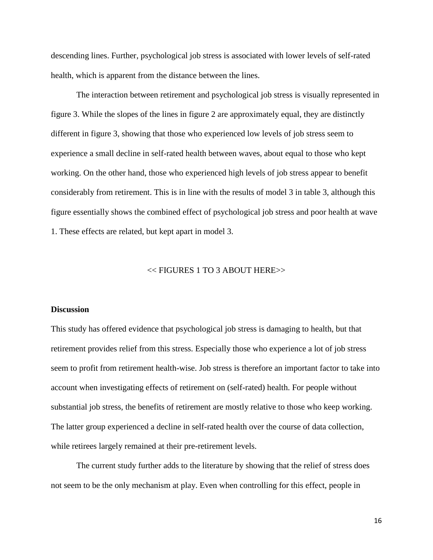descending lines. Further, psychological job stress is associated with lower levels of self-rated health, which is apparent from the distance between the lines.

The interaction between retirement and psychological job stress is visually represented in figure 3. While the slopes of the lines in figure 2 are approximately equal, they are distinctly different in figure 3, showing that those who experienced low levels of job stress seem to experience a small decline in self-rated health between waves, about equal to those who kept working. On the other hand, those who experienced high levels of job stress appear to benefit considerably from retirement. This is in line with the results of model 3 in table 3, although this figure essentially shows the combined effect of psychological job stress and poor health at wave 1. These effects are related, but kept apart in model 3.

## << FIGURES 1 TO 3 ABOUT HERE>>

#### **Discussion**

This study has offered evidence that psychological job stress is damaging to health, but that retirement provides relief from this stress. Especially those who experience a lot of job stress seem to profit from retirement health-wise. Job stress is therefore an important factor to take into account when investigating effects of retirement on (self-rated) health. For people without substantial job stress, the benefits of retirement are mostly relative to those who keep working. The latter group experienced a decline in self-rated health over the course of data collection, while retirees largely remained at their pre-retirement levels.

The current study further adds to the literature by showing that the relief of stress does not seem to be the only mechanism at play. Even when controlling for this effect, people in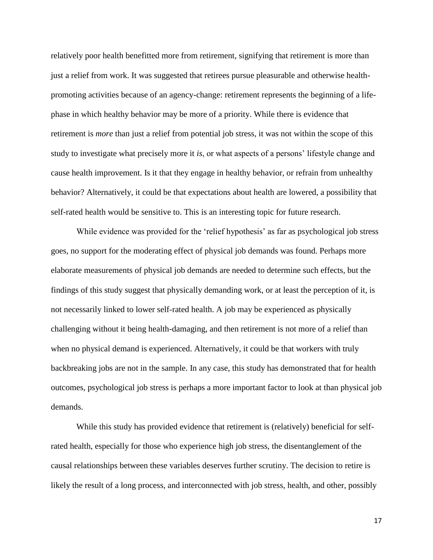relatively poor health benefitted more from retirement, signifying that retirement is more than just a relief from work. It was suggested that retirees pursue pleasurable and otherwise healthpromoting activities because of an agency-change: retirement represents the beginning of a lifephase in which healthy behavior may be more of a priority. While there is evidence that retirement is *more* than just a relief from potential job stress, it was not within the scope of this study to investigate what precisely more it *is*, or what aspects of a persons' lifestyle change and cause health improvement. Is it that they engage in healthy behavior, or refrain from unhealthy behavior? Alternatively, it could be that expectations about health are lowered, a possibility that self-rated health would be sensitive to. This is an interesting topic for future research.

While evidence was provided for the 'relief hypothesis' as far as psychological job stress goes, no support for the moderating effect of physical job demands was found. Perhaps more elaborate measurements of physical job demands are needed to determine such effects, but the findings of this study suggest that physically demanding work, or at least the perception of it, is not necessarily linked to lower self-rated health. A job may be experienced as physically challenging without it being health-damaging, and then retirement is not more of a relief than when no physical demand is experienced. Alternatively, it could be that workers with truly backbreaking jobs are not in the sample. In any case, this study has demonstrated that for health outcomes, psychological job stress is perhaps a more important factor to look at than physical job demands.

While this study has provided evidence that retirement is (relatively) beneficial for selfrated health, especially for those who experience high job stress, the disentanglement of the causal relationships between these variables deserves further scrutiny. The decision to retire is likely the result of a long process, and interconnected with job stress, health, and other, possibly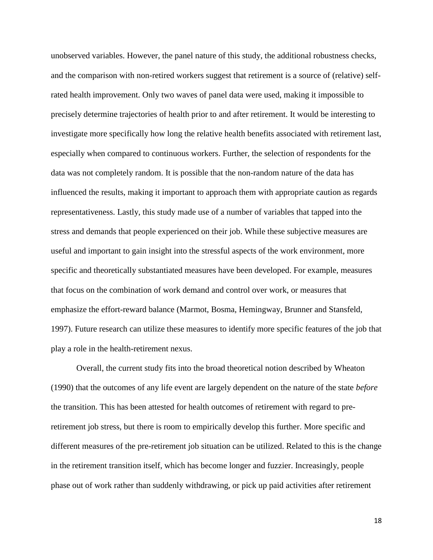unobserved variables. However, the panel nature of this study, the additional robustness checks, and the comparison with non-retired workers suggest that retirement is a source of (relative) selfrated health improvement. Only two waves of panel data were used, making it impossible to precisely determine trajectories of health prior to and after retirement. It would be interesting to investigate more specifically how long the relative health benefits associated with retirement last, especially when compared to continuous workers. Further, the selection of respondents for the data was not completely random. It is possible that the non-random nature of the data has influenced the results, making it important to approach them with appropriate caution as regards representativeness. Lastly, this study made use of a number of variables that tapped into the stress and demands that people experienced on their job. While these subjective measures are useful and important to gain insight into the stressful aspects of the work environment, more specific and theoretically substantiated measures have been developed. For example, measures that focus on the combination of work demand and control over work, or measures that emphasize the effort-reward balance (Marmot, Bosma, Hemingway, Brunner and Stansfeld, 1997). Future research can utilize these measures to identify more specific features of the job that play a role in the health-retirement nexus.

Overall, the current study fits into the broad theoretical notion described by Wheaton (1990) that the outcomes of any life event are largely dependent on the nature of the state *before* the transition. This has been attested for health outcomes of retirement with regard to preretirement job stress, but there is room to empirically develop this further. More specific and different measures of the pre-retirement job situation can be utilized. Related to this is the change in the retirement transition itself, which has become longer and fuzzier. Increasingly, people phase out of work rather than suddenly withdrawing, or pick up paid activities after retirement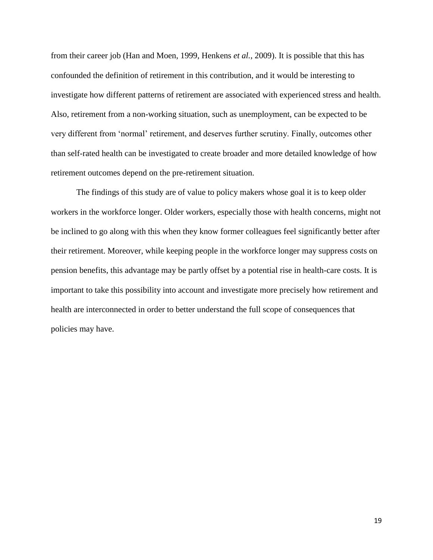from their career job (Han and Moen, 1999, Henkens *et al.*, 2009). It is possible that this has confounded the definition of retirement in this contribution, and it would be interesting to investigate how different patterns of retirement are associated with experienced stress and health. Also, retirement from a non-working situation, such as unemployment, can be expected to be very different from 'normal' retirement, and deserves further scrutiny. Finally, outcomes other than self-rated health can be investigated to create broader and more detailed knowledge of how retirement outcomes depend on the pre-retirement situation.

The findings of this study are of value to policy makers whose goal it is to keep older workers in the workforce longer. Older workers, especially those with health concerns, might not be inclined to go along with this when they know former colleagues feel significantly better after their retirement. Moreover, while keeping people in the workforce longer may suppress costs on pension benefits, this advantage may be partly offset by a potential rise in health-care costs. It is important to take this possibility into account and investigate more precisely how retirement and health are interconnected in order to better understand the full scope of consequences that policies may have.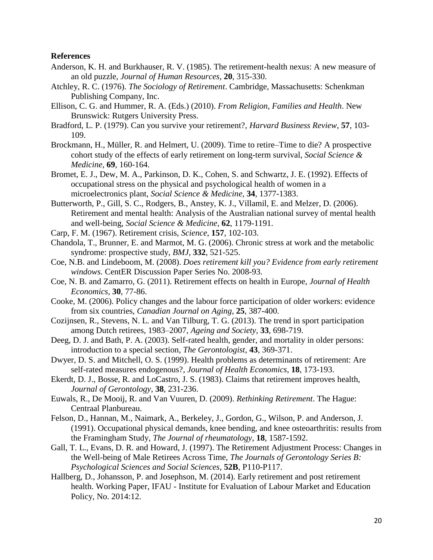# **References**

- Anderson, K. H. and Burkhauser, R. V. (1985). The retirement-health nexus: A new measure of an old puzzle, *Journal of Human Resources*, **20**, 315-330.
- Atchley, R. C. (1976). *The Sociology of Retirement*. Cambridge, Massachusetts: Schenkman Publishing Company, Inc.
- Ellison, C. G. and Hummer, R. A. (Eds.) (2010). *From Religion, Families and Health*. New Brunswick: Rutgers University Press.
- Bradford, L. P. (1979). Can you survive your retirement?, *Harvard Business Review*, **57**, 103- 109.
- Brockmann, H., Müller, R. and Helmert, U. (2009). Time to retire–Time to die? A prospective cohort study of the effects of early retirement on long-term survival, *Social Science & Medicine*, **69**, 160-164.
- Bromet, E. J., Dew, M. A., Parkinson, D. K., Cohen, S. and Schwartz, J. E. (1992). Effects of occupational stress on the physical and psychological health of women in a microelectronics plant, *Social Science & Medicine*, **34**, 1377-1383.
- Butterworth, P., Gill, S. C., Rodgers, B., Anstey, K. J., Villamil, E. and Melzer, D. (2006). Retirement and mental health: Analysis of the Australian national survey of mental health and well-being, *Social Science & Medicine*, **62**, 1179-1191.
- Carp, F. M. (1967). Retirement crisis, *Science*, **157**, 102-103.
- Chandola, T., Brunner, E. and Marmot, M. G. (2006). Chronic stress at work and the metabolic syndrome: prospective study, *BMJ*, **332**, 521-525.
- Coe, N.B. and Lindeboom, M. (2008). *Does retirement kill you? Evidence from early retirement windows.* CentER Discussion Paper Series No. 2008-93.
- Coe, N. B. and Zamarro, G. (2011). Retirement effects on health in Europe, *Journal of Health Economics*, **30**, 77-86.
- Cooke, M. (2006). Policy changes and the labour force participation of older workers: evidence from six countries, *Canadian Journal on Aging*, **25**, 387-400.
- Cozijnsen, R., Stevens, N. L. and Van Tilburg, T. G. (2013). The trend in sport participation among Dutch retirees, 1983–2007, *Ageing and Society*, **33**, 698-719.
- Deeg, D. J. and Bath, P. A. (2003). Self-rated health, gender, and mortality in older persons: introduction to a special section, *The Gerontologist*, **43**, 369-371.
- Dwyer, D. S. and Mitchell, O. S. (1999). Health problems as determinants of retirement: Are self-rated measures endogenous?, *Journal of Health Economics*, **18**, 173-193.
- Ekerdt, D. J., Bosse, R. and LoCastro, J. S. (1983). Claims that retirement improves health, *Journal of Gerontology*, **38**, 231-236.
- Euwals, R., De Mooij, R. and Van Vuuren, D. (2009). *Rethinking Retirement*. The Hague: Centraal Planbureau.
- Felson, D., Hannan, M., Naimark, A., Berkeley, J., Gordon, G., Wilson, P. and Anderson, J. (1991). Occupational physical demands, knee bending, and knee osteoarthritis: results from the Framingham Study, *The Journal of rheumatology*, **18**, 1587-1592.
- Gall, T. L., Evans, D. R. and Howard, J. (1997). The Retirement Adjustment Process: Changes in the Well-being of Male Retirees Across Time, *The Journals of Gerontology Series B: Psychological Sciences and Social Sciences*, **52B**, P110-P117.
- Hallberg, D., Johansson, P. and Josephson, M. (2014). Early retirement and post retirement health. Working Paper, IFAU - Institute for Evaluation of Labour Market and Education Policy, No. 2014:12.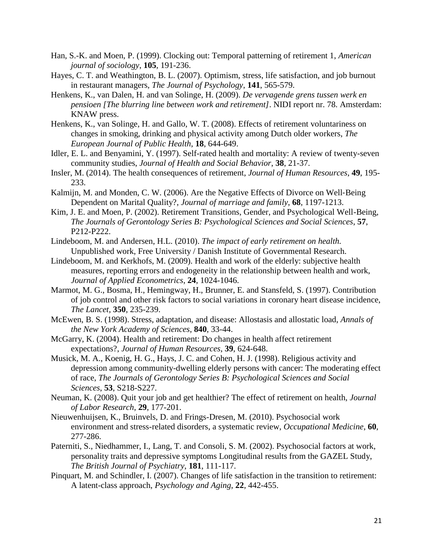- Han, S.-K. and Moen, P. (1999). Clocking out: Temporal patterning of retirement 1, *American journal of sociology*, **105**, 191-236.
- Hayes, C. T. and Weathington, B. L. (2007). Optimism, stress, life satisfaction, and job burnout in restaurant managers, *The Journal of Psychology*, **141**, 565-579.
- Henkens, K., van Dalen, H. and van Solinge, H. (2009). *De vervagende grens tussen werk en pensioen [The blurring line between work and retirement]*. NIDI report nr. 78. Amsterdam: KNAW press.
- Henkens, K., van Solinge, H. and Gallo, W. T. (2008). Effects of retirement voluntariness on changes in smoking, drinking and physical activity among Dutch older workers, *The European Journal of Public Health*, **18**, 644-649.
- Idler, E. L. and Benyamini, Y. (1997). Self-rated health and mortality: A review of twenty-seven community studies, *Journal of Health and Social Behavior*, **38**, 21-37.
- Insler, M. (2014). The health consequences of retirement, *Journal of Human Resources*, **49**, 195- 233.
- Kalmijn, M. and Monden, C. W. (2006). Are the Negative Effects of Divorce on Well‐Being Dependent on Marital Quality?, *Journal of marriage and family*, **68**, 1197-1213.
- Kim, J. E. and Moen, P. (2002). Retirement Transitions, Gender, and Psychological Well-Being, *The Journals of Gerontology Series B: Psychological Sciences and Social Sciences*, **57**, P212-P222.
- Lindeboom, M. and Andersen, H.L. (2010). *The impact of early retirement on health.*  Unpublished work, Free University / Danish Institute of Governmental Research.
- Lindeboom, M. and Kerkhofs, M. (2009). Health and work of the elderly: subjective health measures, reporting errors and endogeneity in the relationship between health and work, *Journal of Applied Econometrics*, **24**, 1024-1046.
- Marmot, M. G., Bosma, H., Hemingway, H., Brunner, E. and Stansfeld, S. (1997). Contribution of job control and other risk factors to social variations in coronary heart disease incidence, *The Lancet*, **350**, 235-239.
- McEwen, B. S. (1998). Stress, adaptation, and disease: Allostasis and allostatic load, *Annals of the New York Academy of Sciences*, **840**, 33-44.
- McGarry, K. (2004). Health and retirement: Do changes in health affect retirement expectations?, *Journal of Human Resources*, **39**, 624-648.
- Musick, M. A., Koenig, H. G., Hays, J. C. and Cohen, H. J. (1998). Religious activity and depression among community-dwelling elderly persons with cancer: The moderating effect of race, *The Journals of Gerontology Series B: Psychological Sciences and Social Sciences*, **53**, S218-S227.
- Neuman, K. (2008). Quit your job and get healthier? The effect of retirement on health, *Journal of Labor Research*, **29**, 177-201.
- Nieuwenhuijsen, K., Bruinvels, D. and Frings-Dresen, M. (2010). Psychosocial work environment and stress-related disorders, a systematic review, *Occupational Medicine*, **60**, 277-286.
- Paterniti, S., Niedhammer, I., Lang, T. and Consoli, S. M. (2002). Psychosocial factors at work, personality traits and depressive symptoms Longitudinal results from the GAZEL Study, *The British Journal of Psychiatry*, **181**, 111-117.
- Pinquart, M. and Schindler, I. (2007). Changes of life satisfaction in the transition to retirement: A latent-class approach, *Psychology and Aging*, **22**, 442-455.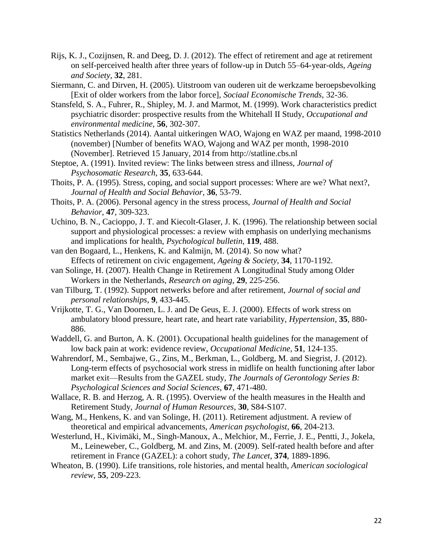- Rijs, K. J., Cozijnsen, R. and Deeg, D. J. (2012). The effect of retirement and age at retirement on self-perceived health after three years of follow-up in Dutch 55–64-year-olds, *Ageing and Society*, **32**, 281.
- Siermann, C. and Dirven, H. (2005). Uitstroom van ouderen uit de werkzame beroepsbevolking [Exit of older workers from the labor force], *Sociaal Economische Trends*, 32-36.
- Stansfeld, S. A., Fuhrer, R., Shipley, M. J. and Marmot, M. (1999). Work characteristics predict psychiatric disorder: prospective results from the Whitehall II Study, *Occupational and environmental medicine*, **56**, 302-307.
- Statistics Netherlands (2014). Aantal uitkeringen WAO, Wajong en WAZ per maand, 1998-2010 (november) [Number of benefits WAO, Wajong and WAZ per month, 1998-2010 (November]. Retrieved 15 January, 2014 from http://statline.cbs.nl
- Steptoe, A. (1991). Invited review: The links between stress and illness, *Journal of Psychosomatic Research*, **35**, 633-644.
- Thoits, P. A. (1995). Stress, coping, and social support processes: Where are we? What next?, *Journal of Health and Social Behavior*, **36**, 53-79.
- Thoits, P. A. (2006). Personal agency in the stress process, *Journal of Health and Social Behavior*, **47**, 309-323.
- Uchino, B. N., Cacioppo, J. T. and Kiecolt-Glaser, J. K. (1996). The relationship between social support and physiological processes: a review with emphasis on underlying mechanisms and implications for health, *Psychological bulletin*, **119**, 488.
- van den Bogaard, L., Henkens, K. and Kalmijn, M. (2014). So now what? Effects of retirement on civic engagement, *Ageing & Society*, **34**, 1170-1192.
- van Solinge, H. (2007). Health Change in Retirement A Longitudinal Study among Older Workers in the Netherlands, *Research on aging*, **29**, 225-256.
- van Tilburg, T. (1992). Support netwerks before and after retirement, *Journal of social and personal relationships*, **9**, 433-445.
- Vrijkotte, T. G., Van Doornen, L. J. and De Geus, E. J. (2000). Effects of work stress on ambulatory blood pressure, heart rate, and heart rate variability, *Hypertension*, **35**, 880- 886.
- Waddell, G. and Burton, A. K. (2001). Occupational health guidelines for the management of low back pain at work: evidence review, *Occupational Medicine*, **51**, 124-135.
- Wahrendorf, M., Sembajwe, G., Zins, M., Berkman, L., Goldberg, M. and Siegrist, J. (2012). Long-term effects of psychosocial work stress in midlife on health functioning after labor market exit—Results from the GAZEL study, *The Journals of Gerontology Series B: Psychological Sciences and Social Sciences*, **67**, 471-480.
- Wallace, R. B. and Herzog, A. R. (1995). Overview of the health measures in the Health and Retirement Study, *Journal of Human Resources*, **30**, S84-S107.
- Wang, M., Henkens, K. and van Solinge, H. (2011). Retirement adjustment. A review of theoretical and empirical advancements, *American psychologist*, **66**, 204-213.
- Westerlund, H., Kivimäki, M., Singh-Manoux, A., Melchior, M., Ferrie, J. E., Pentti, J., Jokela, M., Leineweber, C., Goldberg, M. and Zins, M. (2009). Self-rated health before and after retirement in France (GAZEL): a cohort study, *The Lancet*, **374**, 1889-1896.
- Wheaton, B. (1990). Life transitions, role histories, and mental health, *American sociological review*, **55**, 209-223.